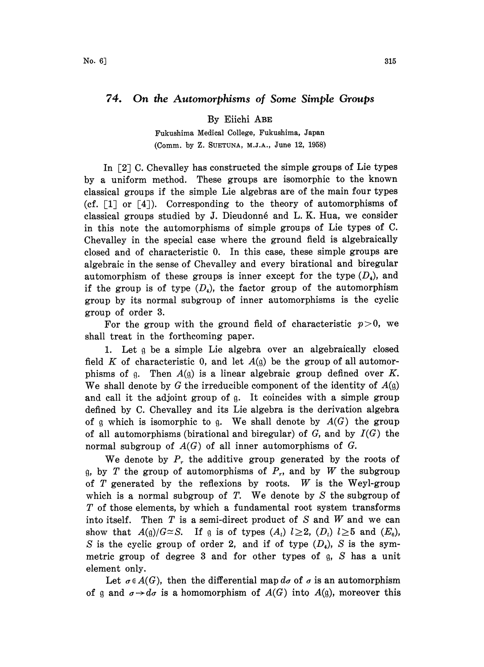## 74. On the Automorphisms of Some Simple Groups

By Eiichi ABE

Fukushima Medical College, Fukushima, Japan (Comm. by Z. SUETUNA, M.J.A., June 12, 1958)

In  $[2]$  C. Chevalley has constructed the simple groups of Lie types by a uniform method. These groups are isomorphic to the known classical groups if the simple Lie algebras are of the main four types (cf.  $[1]$  or  $[4]$ ). Corresponding to the theory of automorphisms of classical groups studied by J. Dieudonné and L.K. Hua, we consider in this note the automorphisms of simple groups of Lie types of C. Chevalley in the special case where the ground field is algebraically closed and of characteristic 0. In this case, these simple groups are algebraic in the sense of Chevalley and every birational and biregular automorphism of these groups is inner except for the type  $(D_4)$ , and if the group is of type  $(D_4)$ , the factor group of the automorphism group by its normal subgroup of inner automorphisms is the cyclic group of order 3.

For the group with the ground field of characteristic  $p>0$ , we shall treat in the forthcoming paper.

1. Let q be a simple Lie algebra over an algebraically closed field K of characteristic 0, and let  $A(q)$  be the group of all automorphisms of g. Then  $A(g)$  is a linear algebraic group defined over K. We shall denote by G the irreducible component of the identity of  $A(q)$ and call it the adjoint group of g. It coincides with a simple group defined by C. Chevalley and its Lie algebra is the derivation algebra of g which is isomorphic to g. We shall denote by  $A(G)$  the group of all automorphisms (birational and biregular) of  $G$ , and by  $I(G)$  the normal subgroup of  $A(G)$  of all inner automorphisms of G.

We denote by  $P_r$ , the additive group generated by the roots of g, by T the group of automorphisms of  $P_r$ , and by W the subgroup of  $T$  generated by the reflexions by roots.  $W$  is the Weyl-group which is a normal subgroup of  $T$ . We denote by  $S$  the subgroup of T of those elements, by which a fundamental root system transforms into itself. Then  $T$  is a semi-direct product of  $S$  and  $W$  and we can show that  $A(q)/G \cong S$ . If g is of types  $(A_i)$   $l \geq 2$ ,  $(D_i)$   $l \geq 5$  and  $(E_6)$ , S is the cyclic group of order 2, and if of type  $(D_4)$ , S is the symmetric group of degree  $3$  and for other types of  $g$ ,  $S$  has a unit element only.

Let  $\sigma \in A(G)$ , then the differential map  $d\sigma$  of  $\sigma$  is an automorphism of g and  $\sigma \rightarrow d\sigma$  is a homomorphism of  $A(G)$  into  $A(g)$ , moreover this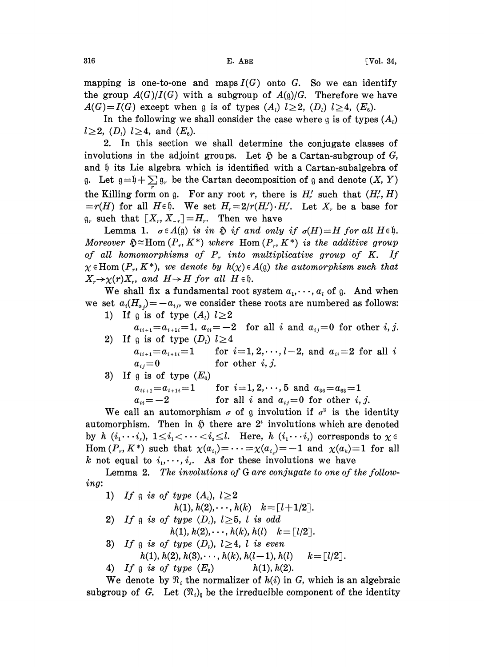mapping is one-to-one and maps  $I(G)$  onto G. So we can identify the group  $A(G)/I(G)$  with a subgroup of  $A(q)/G$ . Therefore we have  $A(G)=I(G)$  except when g is of types  $(A_i)$   $l\geq 2$ ,  $(D_i)$   $l\geq 4$ ,  $(E_6)$ .

In the following we shall consider the case where g is of types  $(A_i)$  $l \ge 2$ ,  $(D_l)$   $l \ge 4$ , and  $(E_6)$ .

2. In this section we shall determine the conjugate classes of involutions in the adjoint groups. Let  $\delta$  be a Cartan-subgroup of G, and  $\mathfrak h$  its Lie algebra which is identified with a Cartan-subalgebra of g. Let  $g = \mathfrak{h} + \sum g_r$  be the Cartan decomposition of g and denote  $(X, Y)$ the Killing form on g. For any root r, there is  $H'_r$  such that  $(H'_r, H)$  $=r(H)$  for all  $H \in \mathfrak{h}$ . We set  $H_r=2/r(H'_r) \cdot H'_r$ . Let  $X_r$  be a base for  $\mathfrak{g}_r$  such that  $[X_r, X_{-r}]=H_r$ . Then we have

Lemma 1.  $\sigma \in A(\mathfrak{g})$  is in  $\mathfrak H$  if and only if  $\sigma(H)=H$  for all  $H \in \mathfrak{h}$ . Moreover  $\mathfrak{H} \simeq \text{Hom}(P_r, K^*)$  where  $\text{Hom}(P_r, K^*)$  is the additive group of all homomorphisms of  $P<sub>r</sub>$  into multiplicative group of K. If  $\chi \in \text{Hom}(P_r, K^*)$ , we denote by  $h(\chi) \in A(\mathfrak{g})$  the automorphism such that  $X_r \rightarrow \chi(r) X_r$ , and  $H \rightarrow H$  for all  $H \in \mathfrak{h}$ .

We shall fix a fundamental root system  $a_1, \dots, a_t$  of g. And when we set  $a_i(H_{a_i})=-a_{ij}$ , we consider these roots are numbered as follows: 1) If g is of type  $(A_i)$   $l \geq 2$ 

- $a_{i,i+1}=a_{i+1,i}=1$ ,  $a_{ii}=-2$  for all i and  $a_{ij}=0$  for other i, j.
- 2) If g is of type  $(D_i)$   $l \geq 4$  $a_{i_{i+1}} = a_{i+1 i} = 1$ for  $i=1, 2, \dots, l-2$ , and  $a_{ii}=2$  for all i  $a_{ij}=0$ for other  $i, j$ .
- 3) If a is of type  $(E_{\scriptscriptstyle{\theta}})$  $a_{i_{i+1}}{=}a_{i+1 i}{=}1$  $a_{ii} = -2$ for  $i=1, 2, \dots, 5$  and  $a_{36}=a_{63}=1$ for all i and  $a_{ij}=0$  for other i, j.

We call an automorphism  $\sigma$  of g involution if  $\sigma^2$  is the identity automorphism. Then in  $\mathfrak H$  there are  $2^i$  involutions which are denoted by h  $(i_1 \cdots i_s)$ ,  $1 \leq i_1 < \cdots < i_s \leq l$ . Here, h  $(i_1 \cdots i_s)$  corresponds to  $\chi \in$ Hom  $(P_r, K^*)$  such that  $\chi(a_{i_1}) = \cdots = \chi(a_{i_s}) = -1$  and  $\chi(a_k)=1$  for all k not equal to  $i_1, \dots, i_s$ . As for these involutions we have

Lemma 2. The involutions of G are conjugate to one of the following:

\n- 1) If 
$$
g
$$
 is of type  $(A_i)$ ,  $l \geq 2$  $h(1), h(2), \ldots, h(k)$ ,  $k = [l+1/2]$ .
\n- 2) If  $g$  is of type  $(D_i)$ ,  $l \geq 5$ ,  $l$  is odd,  $h(1), h(2), \ldots, h(k), h(l)$ ,  $k = [l/2]$ .
\n- 3) If  $g$  is of type  $(D_i)$ ,  $l \geq 4$ ,  $l$  is even,  $h(1), h(2), h(3), \ldots, h(k), h(l-1), h(l)$ ,  $k = [l/2]$ .
\n- 4) If  $g$  is of type  $(E_6)$ ,  $h(1), h(2)$ .
\n

We denote by  $\mathfrak{N}_i$ , the normalizer of  $h(i)$  in G, which is an algebraic subgroup of G, Let  $(\mathfrak{N}_i)$  be the irreducible component of the identity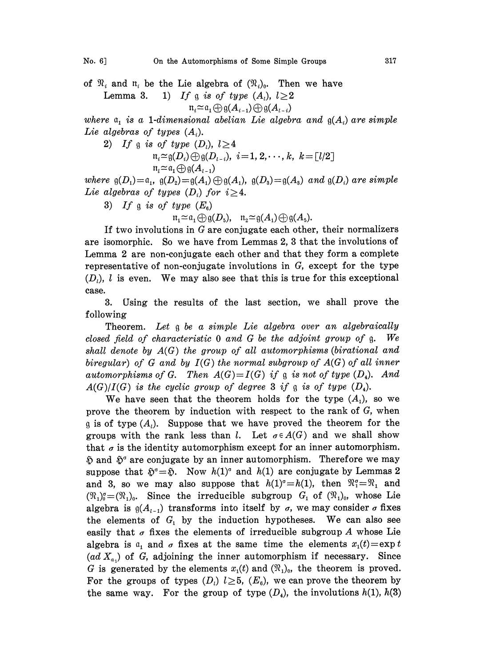of  $\mathcal{R}_i$  and  $\mathfrak{n}_i$  be the Lie algebra of  $(\mathcal{R}_i)_{0}$ . Then we have Lemma 3. 1) If g is of type  $(A_i)$ ,  $l \geq 2$ 

$$
\mathfrak{n}_i \widetilde{=} \mathfrak{a}_1 \oplus \mathfrak{g}(A_{i-1}) \oplus \mathfrak{g}(A_{i-i})
$$

where  $a_i$  is a 1-dimensional abelian Lie algebra and  $g(A_i)$  are simple Lie algebras of types  $(A_i)$ .

2) If g is of type  $(D_i)$ ,  $l \geq 4$  $\pi_i \approx g(D_i) \oplus g(D_{i-i}), i=1, 2, \dots, k, k=[l/2]$ <br> $\pi_i \approx \pi_i \oplus g(A_{i-1})$ 

where  $\mathfrak{g}(D_1)=\mathfrak{a}_1$ ,  $\mathfrak{g}(D_2)=\mathfrak{g}(A_1)\oplus\mathfrak{g}(A_1)$ ,  $\mathfrak{g}(D_3)=\mathfrak{g}(A_3)$  and  $\mathfrak{g}(D_i)$  are simple Lie algebras of types  $(D_i)$  for  $i \geq 4$ .

3) If a is of type  $(E_{\rm s})$ 

 $\mathfrak{n}_1 \simeq \mathfrak{a}_1 \oplus \mathfrak{g}(D_5)$ ,  $\mathfrak{n}_2 \simeq \mathfrak{g}(A_1) \oplus \mathfrak{g}(A_5)$ .

If two involutions in  $G$  are conjugate each other, their normalizers are isomorphic. So we have from Lemmas 2, 3 that the involutions of Lemma <sup>2</sup> are non-conjugate each other and that they form a complete representative of non-conjugate involutions in G, except for the type  $(D_i)$ , l is even. We may also see that this is true for this exceptional case.

3. Using the results of the last section, we shall prove the following

Theorem. Let  $\mathfrak g$  be a simple Lie algebra over an algebraically closed field of characteristic  $0$  and  $G$  be the adjoint group of  $g$ . We shall denote by A(G) the group of all automorphisms (birational and biregular) of G and by  $I(G)$  the normal subgroup of  $A(G)$  of all inner automorphisms of G. Then  $A(G) = I(G)$  if a is not of type  $(D_4)$ . And  $A(G)/I(G)$  is the cyclic group of degree 3 if g is of type  $(D_4)$ .

We have seen that the theorem holds for the type  $(A_1)$ , so we prove the theorem by induction with respect to the rank of  $G$ , when  $\mathfrak g$  is of type  $(A_i)$ . Suppose that we have proved the theorem for the groups with the rank less than l. Let  $\sigma \in A(G)$  and we shall show that  $\sigma$  is the identity automorphism except for an inner automorphism.  $\mathfrak{H}$  and  $\mathfrak{H}^{\circ}$  are conjugate by an inner automorphism. Therefore we may suppose that  $\mathfrak{H}^{\circ} = \mathfrak{H}$ . Now  $h(1)^{\circ}$  and  $h(1)$  are conjugate by Lemmas 2 and 3, so we may also suppose that  $h(1)^\sigma=h(1)$ , then  $\mathfrak{N}_1^\sigma=\mathfrak{N}_1$  and  $\mathfrak{M}^{\sigma}_{1} = \mathfrak{N}_{1}$  and<br>by whose Lie sider  $\sigma$  fixes<br>can also see  $(\mathfrak{N}_1)_0^{\sigma} = (\mathfrak{N}_1)_0$ . Since the irreducible subgroup  $G_1$  of  $(\mathfrak{N}_1)_0$ , whose Lie algebra is  $g(A_{i-1})$  transforms into itself by  $\sigma$ , we may consider  $\sigma$  fixes the elements of  $G_1$  by the induction hypotheses. We can also see easily that  $\sigma$  fixes the elements of irreducible subgroup A whose Lie algebra is  $a_1$  and  $\sigma$  fixes at the same time the elements  $x_1(t)=\exp t$  $(ad X<sub>a</sub>)$  of G, adjoining the inner automorphism if necessary. Since G is generated by the elements  $x_1(t)$  and  $(\Re_1)_0$ , the theorem is proved. For the groups of types  $(D_i)$   $l \geq 5$ ,  $(E_6)$ , we can prove the theorem by the same way. For the group of type  $(D_4)$ , the involutions  $h(1)$ ,  $h(3)$